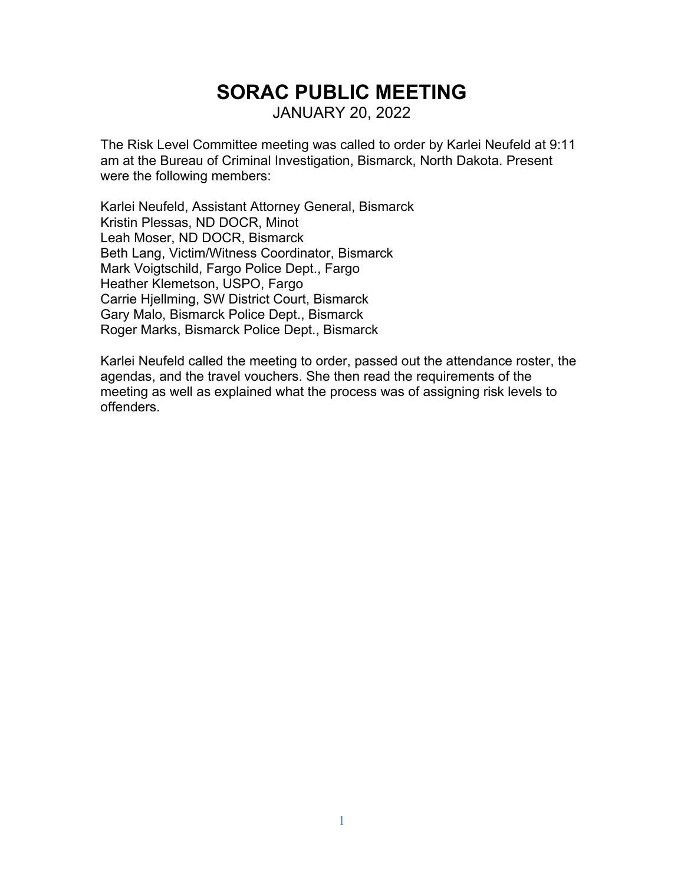# **SORAC PUBLIC MEETING** JANUARY 20, 2022

The Risk Level Committee meeting was called to order by Karlei Neufeld at 9:11 am at the Bureau of Criminal Investigation, Bismarck, North Dakota. Present were the following members:

Karlei Neufeld, Assistant Attorney General, Bismarck Kristin Plessas, ND DOCR, Minot Leah Moser, ND DOCR, Bismarck Beth Lang, Victim/Witness Coordinator, Bismarck Mark Voigtschild, Fargo Police Dept., Fargo Heather Klemetson, USPO, Fargo Carrie Hjellming, SW District Court, Bismarck Gary Malo, Bismarck Police Dept., Bismarck Roger Marks, Bismarck Police Dept., Bismarck

Karlei Neufeld called the meeting to order, passed out the attendance roster, the agendas, and the travel vouchers. She then read the requirements of the meeting as well as explained what the process was of assigning risk levels to offenders.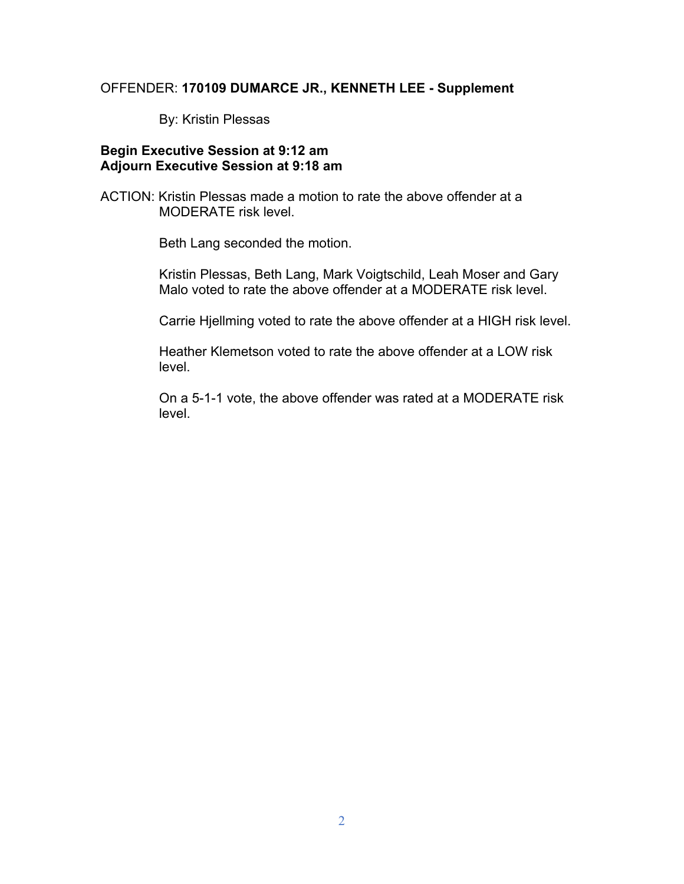#### OFFENDER: **170109 DUMARCE JR., KENNETH LEE - Supplement**

By: Kristin Plessas

### **Begin Executive Session at 9:12 am Adjourn Executive Session at 9:18 am**

ACTION: Kristin Plessas made a motion to rate the above offender at a MODERATE risk level.

Beth Lang seconded the motion.

Kristin Plessas, Beth Lang, Mark Voigtschild, Leah Moser and Gary Malo voted to rate the above offender at a MODERATE risk level.

Carrie Hjellming voted to rate the above offender at a HIGH risk level.

Heather Klemetson voted to rate the above offender at a LOW risk level.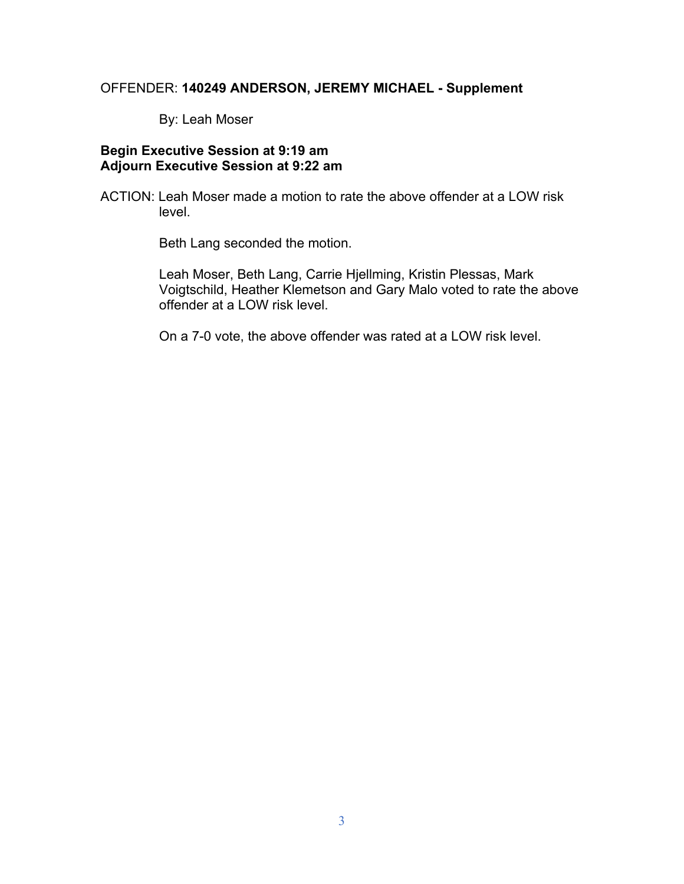# OFFENDER: **140249 ANDERSON, JEREMY MICHAEL - Supplement**

By: Leah Moser

# **Begin Executive Session at 9:19 am Adjourn Executive Session at 9:22 am**

ACTION: Leah Moser made a motion to rate the above offender at a LOW risk level.

Beth Lang seconded the motion.

Leah Moser, Beth Lang, Carrie Hjellming, Kristin Plessas, Mark Voigtschild, Heather Klemetson and Gary Malo voted to rate the above offender at a LOW risk level.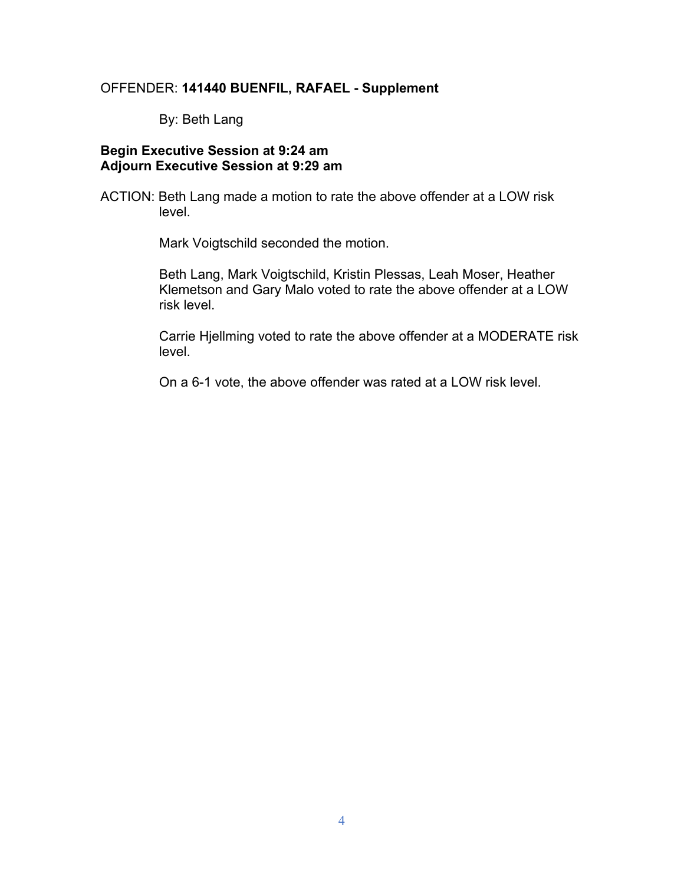#### OFFENDER: **141440 BUENFIL, RAFAEL - Supplement**

By: Beth Lang

### **Begin Executive Session at 9:24 am Adjourn Executive Session at 9:29 am**

ACTION: Beth Lang made a motion to rate the above offender at a LOW risk level.

Mark Voigtschild seconded the motion.

Beth Lang, Mark Voigtschild, Kristin Plessas, Leah Moser, Heather Klemetson and Gary Malo voted to rate the above offender at a LOW risk level.

Carrie Hjellming voted to rate the above offender at a MODERATE risk level.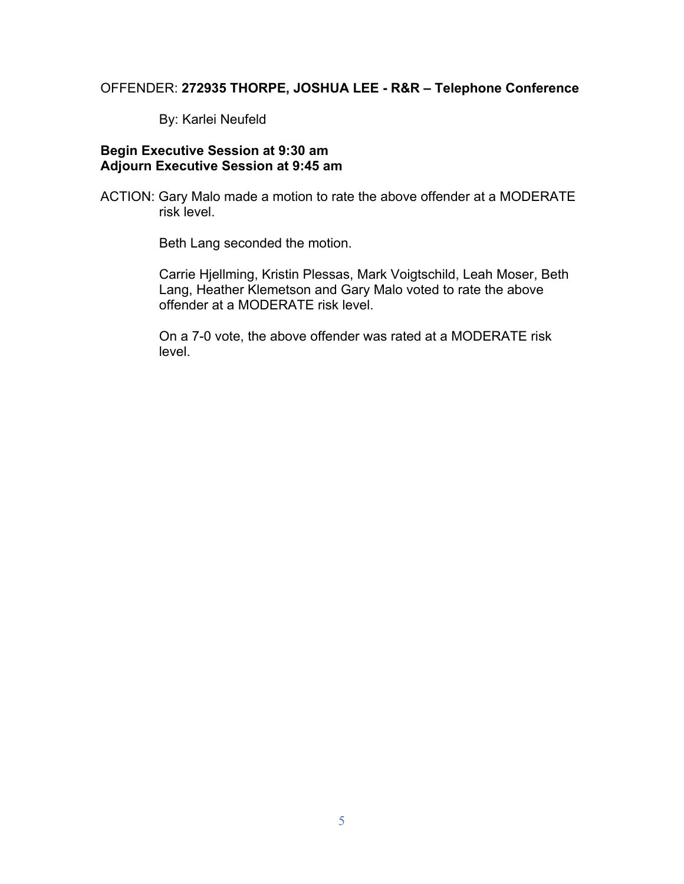# OFFENDER: **272935 THORPE, JOSHUA LEE - R&R – Telephone Conference**

By: Karlei Neufeld

## **Begin Executive Session at 9:30 am Adjourn Executive Session at 9:45 am**

ACTION: Gary Malo made a motion to rate the above offender at a MODERATE risk level.

Beth Lang seconded the motion.

Carrie Hjellming, Kristin Plessas, Mark Voigtschild, Leah Moser, Beth Lang, Heather Klemetson and Gary Malo voted to rate the above offender at a MODERATE risk level.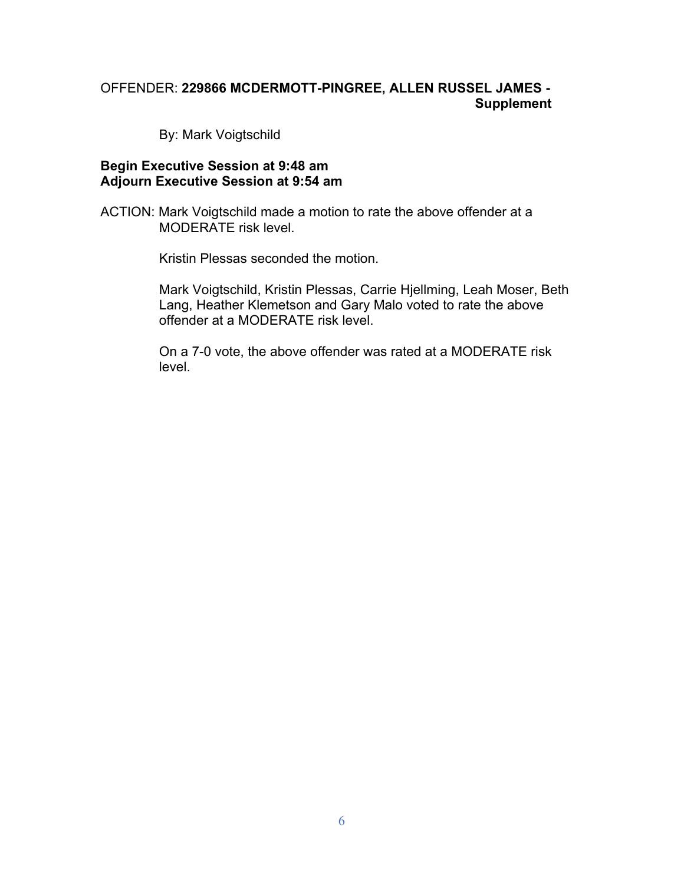# OFFENDER: **229866 MCDERMOTT-PINGREE, ALLEN RUSSEL JAMES - Supplement**

By: Mark Voigtschild

#### **Begin Executive Session at 9:48 am Adjourn Executive Session at 9:54 am**

ACTION: Mark Voigtschild made a motion to rate the above offender at a MODERATE risk level.

Kristin Plessas seconded the motion.

Mark Voigtschild, Kristin Plessas, Carrie Hjellming, Leah Moser, Beth Lang, Heather Klemetson and Gary Malo voted to rate the above offender at a MODERATE risk level.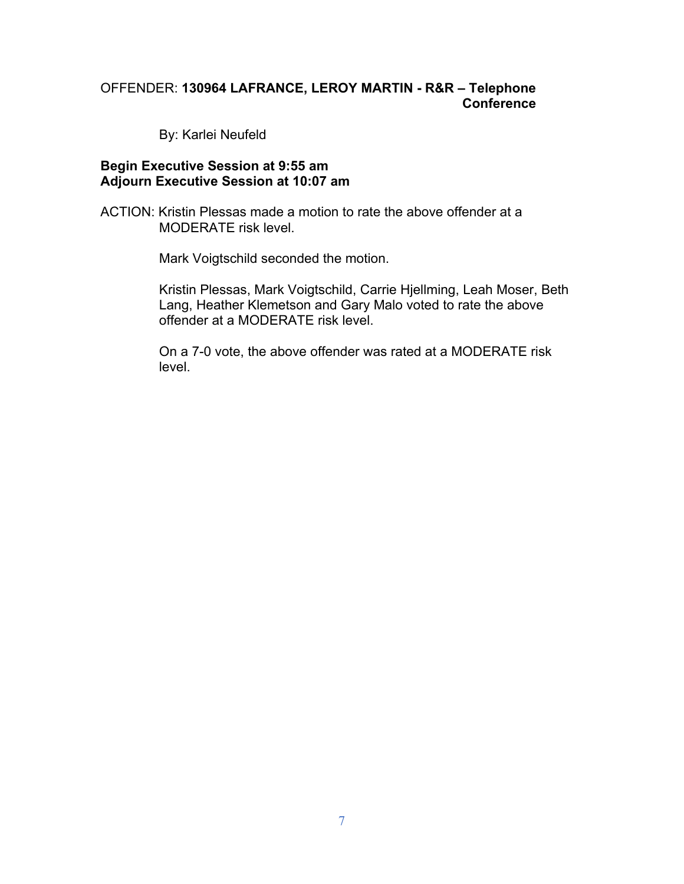# OFFENDER: **130964 LAFRANCE, LEROY MARTIN - R&R – Telephone Conference**

By: Karlei Neufeld

#### **Begin Executive Session at 9:55 am Adjourn Executive Session at 10:07 am**

ACTION: Kristin Plessas made a motion to rate the above offender at a MODERATE risk level.

Mark Voigtschild seconded the motion.

Kristin Plessas, Mark Voigtschild, Carrie Hjellming, Leah Moser, Beth Lang, Heather Klemetson and Gary Malo voted to rate the above offender at a MODERATE risk level.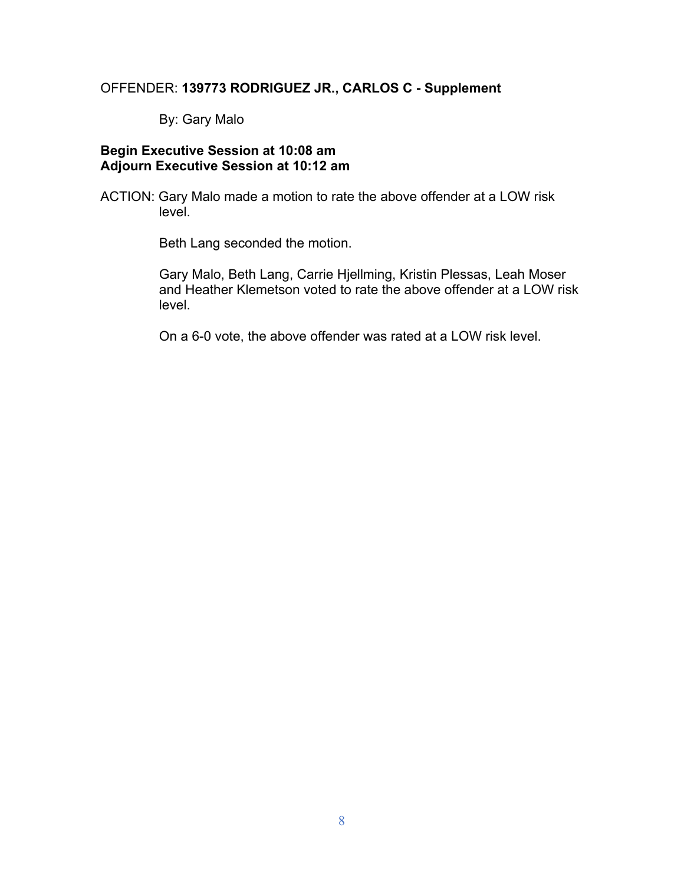# OFFENDER: **139773 RODRIGUEZ JR., CARLOS C - Supplement**

By: Gary Malo

# **Begin Executive Session at 10:08 am Adjourn Executive Session at 10:12 am**

ACTION: Gary Malo made a motion to rate the above offender at a LOW risk level.

Beth Lang seconded the motion.

Gary Malo, Beth Lang, Carrie Hjellming, Kristin Plessas, Leah Moser and Heather Klemetson voted to rate the above offender at a LOW risk level.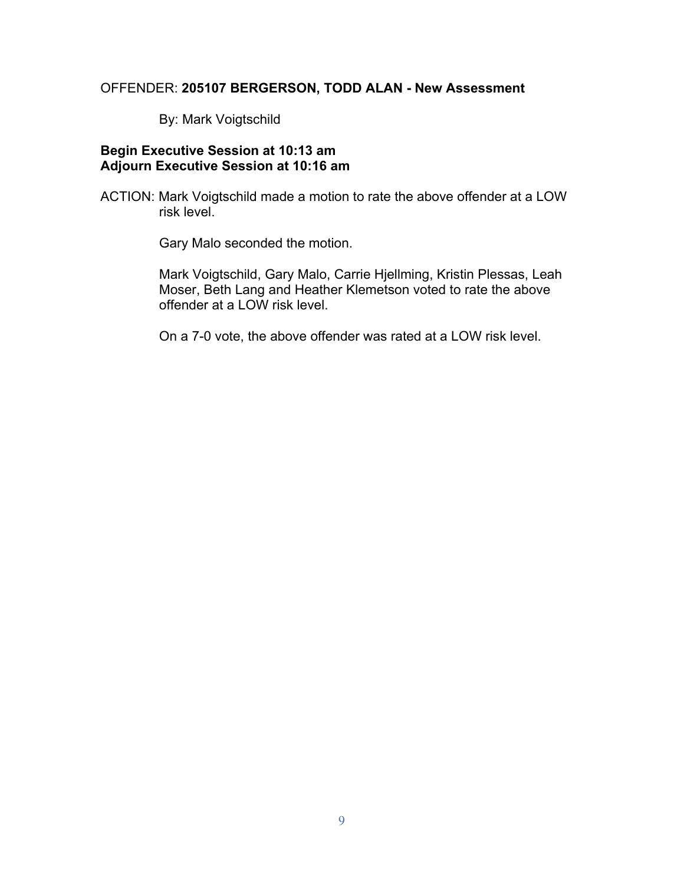# OFFENDER: **205107 BERGERSON, TODD ALAN - New Assessment**

By: Mark Voigtschild

# **Begin Executive Session at 10:13 am Adjourn Executive Session at 10:16 am**

ACTION: Mark Voigtschild made a motion to rate the above offender at a LOW risk level.

Gary Malo seconded the motion.

Mark Voigtschild, Gary Malo, Carrie Hjellming, Kristin Plessas, Leah Moser, Beth Lang and Heather Klemetson voted to rate the above offender at a LOW risk level.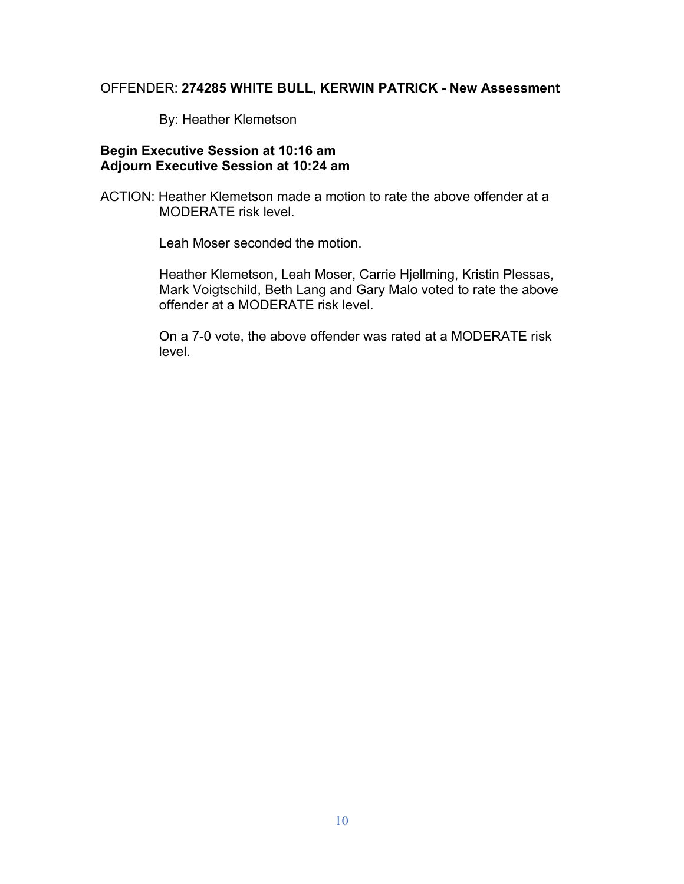# OFFENDER: **274285 WHITE BULL, KERWIN PATRICK - New Assessment**

By: Heather Klemetson

## **Begin Executive Session at 10:16 am Adjourn Executive Session at 10:24 am**

ACTION: Heather Klemetson made a motion to rate the above offender at a MODERATE risk level.

Leah Moser seconded the motion.

Heather Klemetson, Leah Moser, Carrie Hjellming, Kristin Plessas, Mark Voigtschild, Beth Lang and Gary Malo voted to rate the above offender at a MODERATE risk level.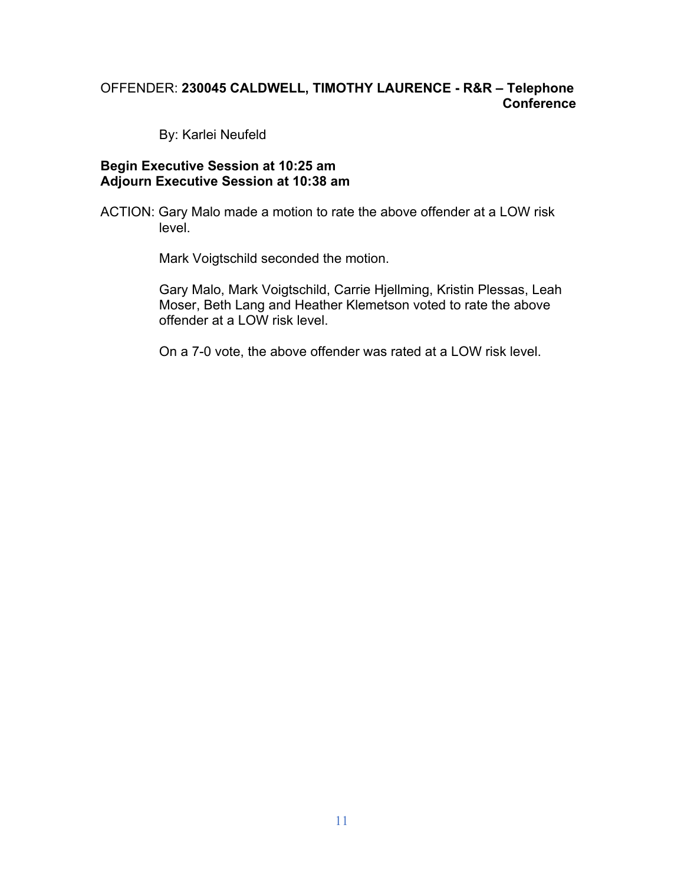# OFFENDER: **230045 CALDWELL, TIMOTHY LAURENCE - R&R – Telephone Conference**

By: Karlei Neufeld

#### **Begin Executive Session at 10:25 am Adjourn Executive Session at 10:38 am**

ACTION: Gary Malo made a motion to rate the above offender at a LOW risk level.

Mark Voigtschild seconded the motion.

Gary Malo, Mark Voigtschild, Carrie Hjellming, Kristin Plessas, Leah Moser, Beth Lang and Heather Klemetson voted to rate the above offender at a LOW risk level.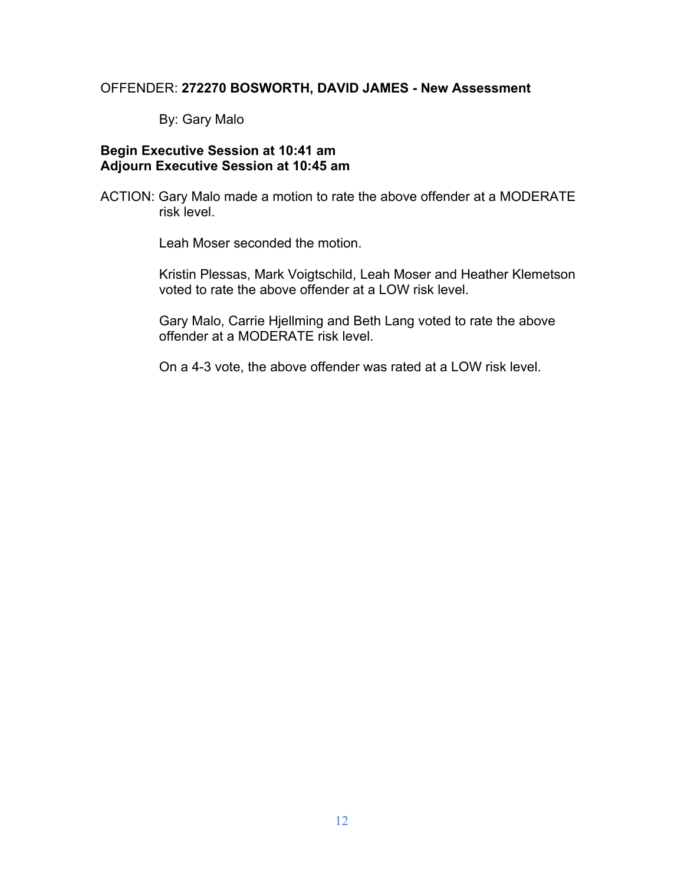#### OFFENDER: **272270 BOSWORTH, DAVID JAMES - New Assessment**

By: Gary Malo

## **Begin Executive Session at 10:41 am Adjourn Executive Session at 10:45 am**

ACTION: Gary Malo made a motion to rate the above offender at a MODERATE risk level.

Leah Moser seconded the motion.

Kristin Plessas, Mark Voigtschild, Leah Moser and Heather Klemetson voted to rate the above offender at a LOW risk level.

Gary Malo, Carrie Hjellming and Beth Lang voted to rate the above offender at a MODERATE risk level.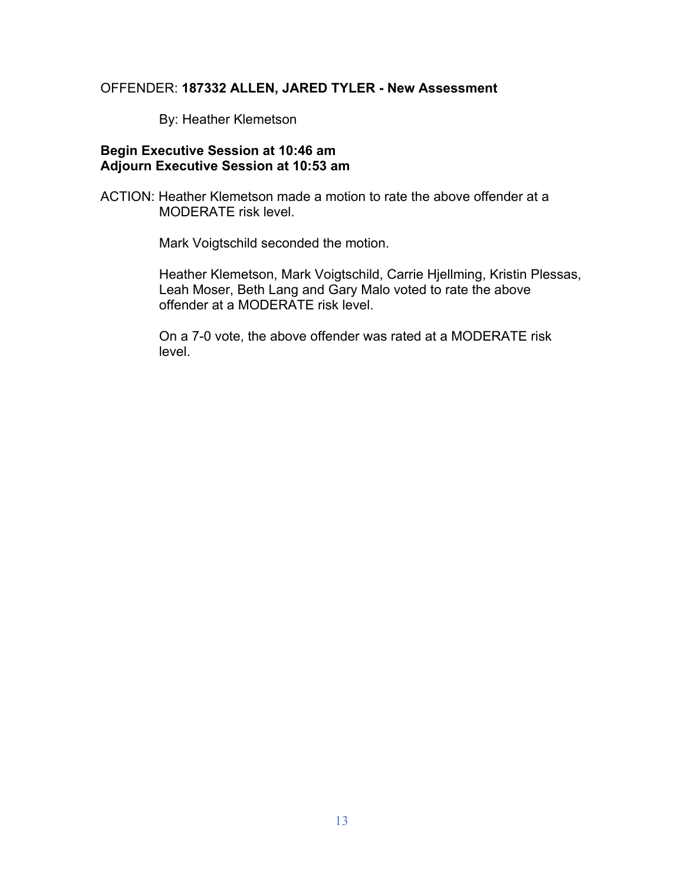## OFFENDER: **187332 ALLEN, JARED TYLER - New Assessment**

By: Heather Klemetson

## **Begin Executive Session at 10:46 am Adjourn Executive Session at 10:53 am**

ACTION: Heather Klemetson made a motion to rate the above offender at a MODERATE risk level.

Mark Voigtschild seconded the motion.

Heather Klemetson, Mark Voigtschild, Carrie Hjellming, Kristin Plessas, Leah Moser, Beth Lang and Gary Malo voted to rate the above offender at a MODERATE risk level.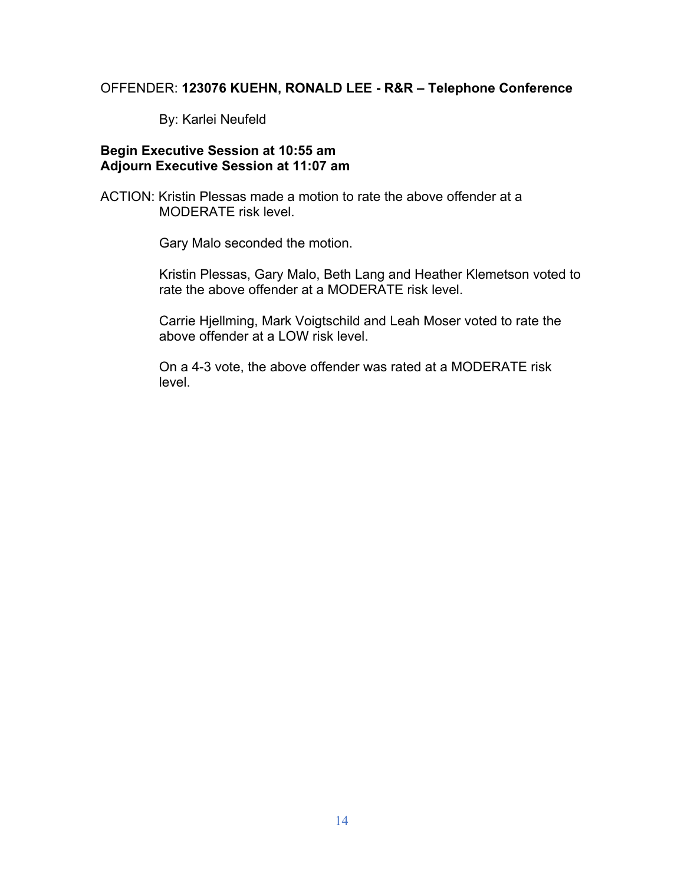#### OFFENDER: **123076 KUEHN, RONALD LEE - R&R – Telephone Conference**

By: Karlei Neufeld

## **Begin Executive Session at 10:55 am Adjourn Executive Session at 11:07 am**

ACTION: Kristin Plessas made a motion to rate the above offender at a MODERATE risk level.

Gary Malo seconded the motion.

Kristin Plessas, Gary Malo, Beth Lang and Heather Klemetson voted to rate the above offender at a MODERATE risk level.

Carrie Hjellming, Mark Voigtschild and Leah Moser voted to rate the above offender at a LOW risk level.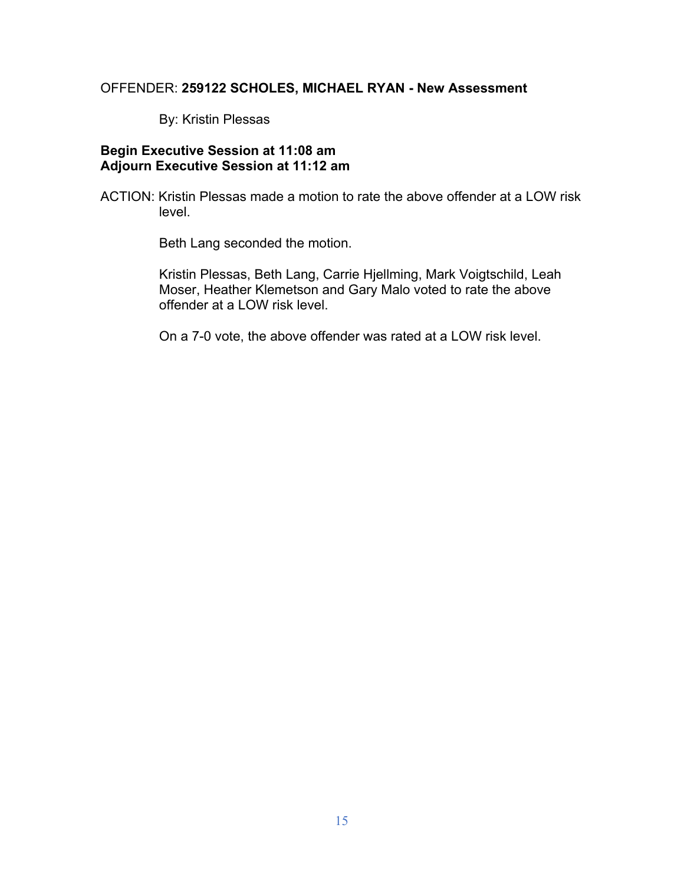## OFFENDER: **259122 SCHOLES, MICHAEL RYAN - New Assessment**

By: Kristin Plessas

# **Begin Executive Session at 11:08 am Adjourn Executive Session at 11:12 am**

ACTION: Kristin Plessas made a motion to rate the above offender at a LOW risk level.

Beth Lang seconded the motion.

Kristin Plessas, Beth Lang, Carrie Hjellming, Mark Voigtschild, Leah Moser, Heather Klemetson and Gary Malo voted to rate the above offender at a LOW risk level.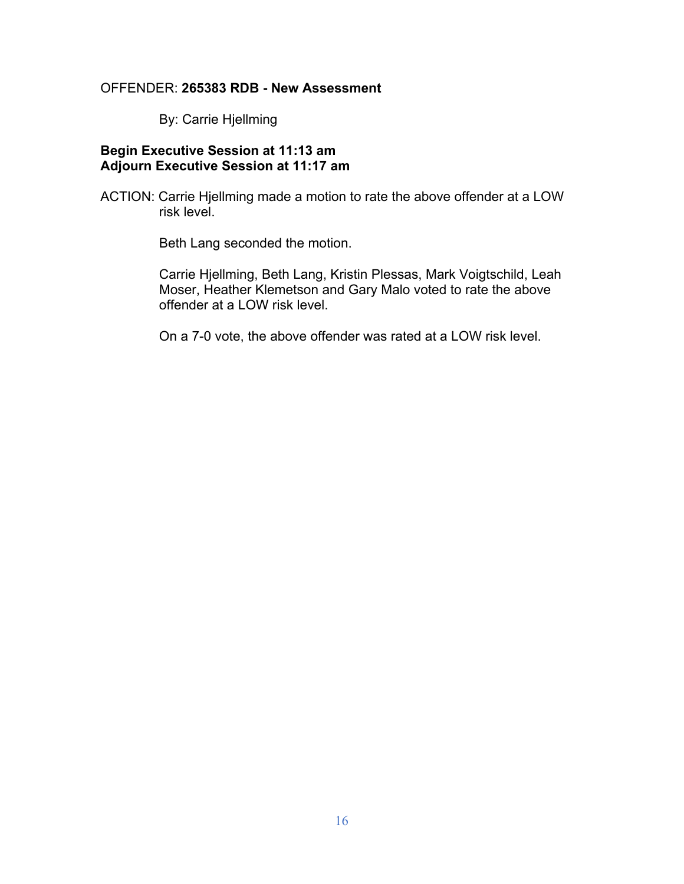#### OFFENDER: **265383 RDB - New Assessment**

By: Carrie Hjellming

# **Begin Executive Session at 11:13 am Adjourn Executive Session at 11:17 am**

ACTION: Carrie Hjellming made a motion to rate the above offender at a LOW risk level.

Beth Lang seconded the motion.

Carrie Hjellming, Beth Lang, Kristin Plessas, Mark Voigtschild, Leah Moser, Heather Klemetson and Gary Malo voted to rate the above offender at a LOW risk level.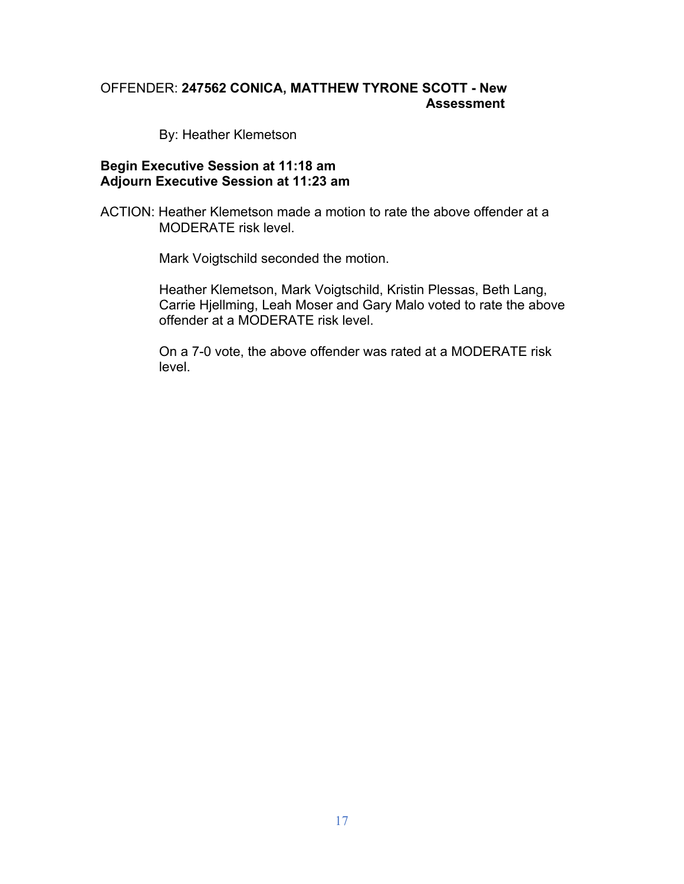# OFFENDER: **247562 CONICA, MATTHEW TYRONE SCOTT - New Assessment**

By: Heather Klemetson

#### **Begin Executive Session at 11:18 am Adjourn Executive Session at 11:23 am**

ACTION: Heather Klemetson made a motion to rate the above offender at a MODERATE risk level.

Mark Voigtschild seconded the motion.

Heather Klemetson, Mark Voigtschild, Kristin Plessas, Beth Lang, Carrie Hjellming, Leah Moser and Gary Malo voted to rate the above offender at a MODERATE risk level.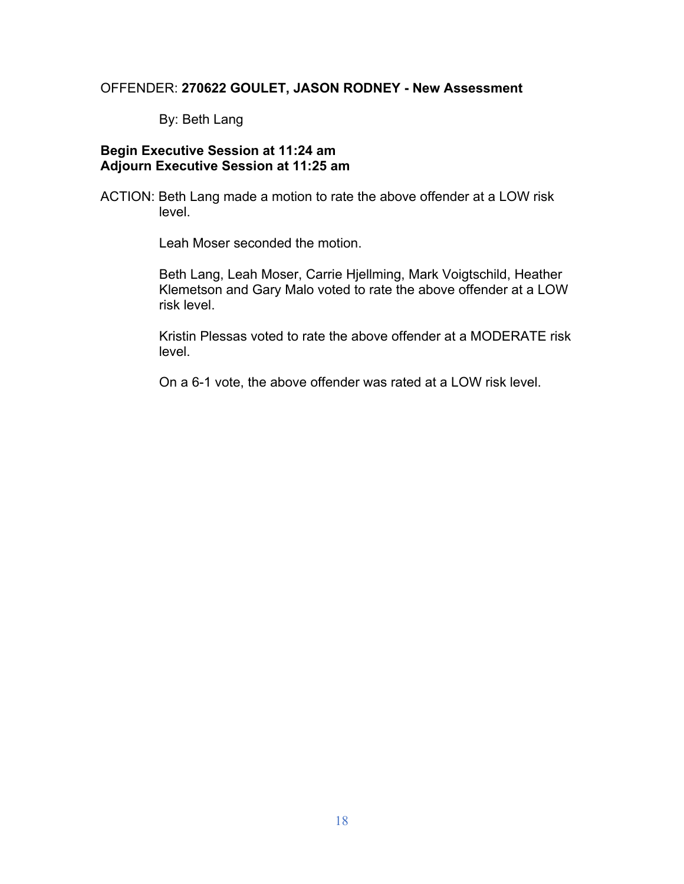# OFFENDER: **270622 GOULET, JASON RODNEY - New Assessment**

By: Beth Lang

### **Begin Executive Session at 11:24 am Adjourn Executive Session at 11:25 am**

ACTION: Beth Lang made a motion to rate the above offender at a LOW risk level.

Leah Moser seconded the motion.

Beth Lang, Leah Moser, Carrie Hjellming, Mark Voigtschild, Heather Klemetson and Gary Malo voted to rate the above offender at a LOW risk level.

Kristin Plessas voted to rate the above offender at a MODERATE risk level.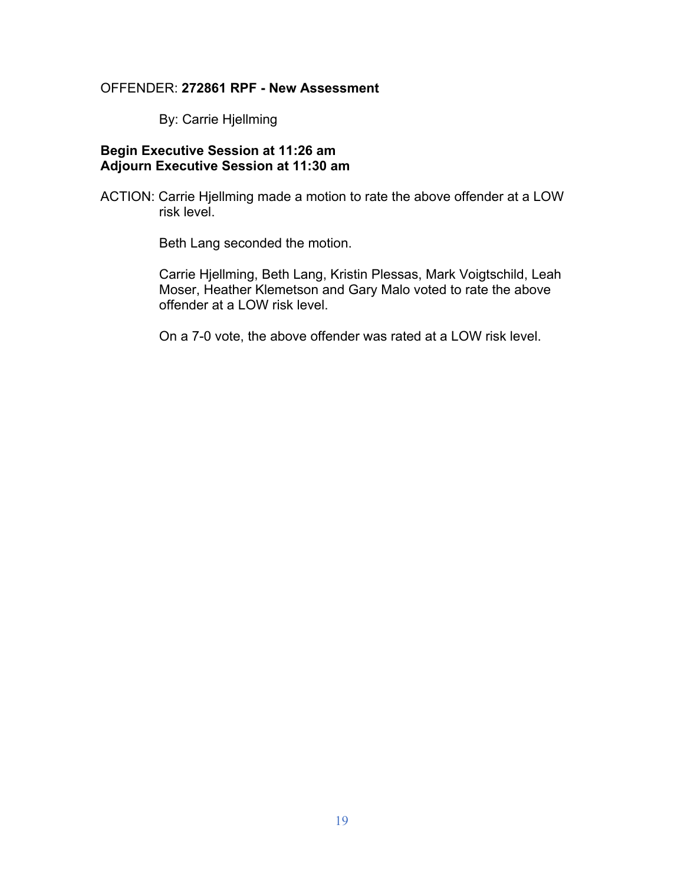#### OFFENDER: **272861 RPF - New Assessment**

By: Carrie Hjellming

# **Begin Executive Session at 11:26 am Adjourn Executive Session at 11:30 am**

ACTION: Carrie Hjellming made a motion to rate the above offender at a LOW risk level.

Beth Lang seconded the motion.

Carrie Hjellming, Beth Lang, Kristin Plessas, Mark Voigtschild, Leah Moser, Heather Klemetson and Gary Malo voted to rate the above offender at a LOW risk level.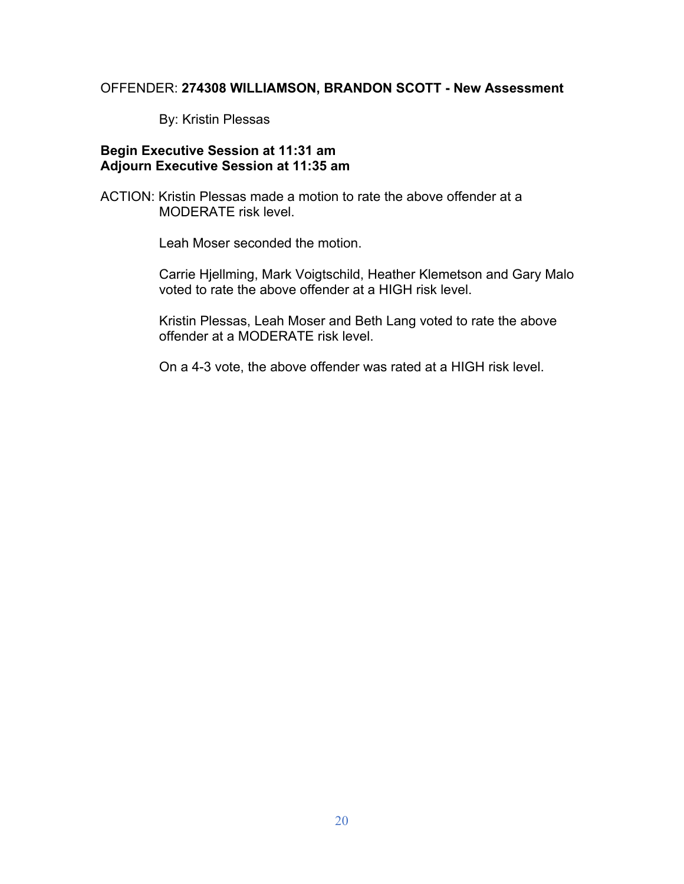#### OFFENDER: **274308 WILLIAMSON, BRANDON SCOTT - New Assessment**

By: Kristin Plessas

## **Begin Executive Session at 11:31 am Adjourn Executive Session at 11:35 am**

ACTION: Kristin Plessas made a motion to rate the above offender at a MODERATE risk level.

Leah Moser seconded the motion.

Carrie Hjellming, Mark Voigtschild, Heather Klemetson and Gary Malo voted to rate the above offender at a HIGH risk level.

Kristin Plessas, Leah Moser and Beth Lang voted to rate the above offender at a MODERATE risk level.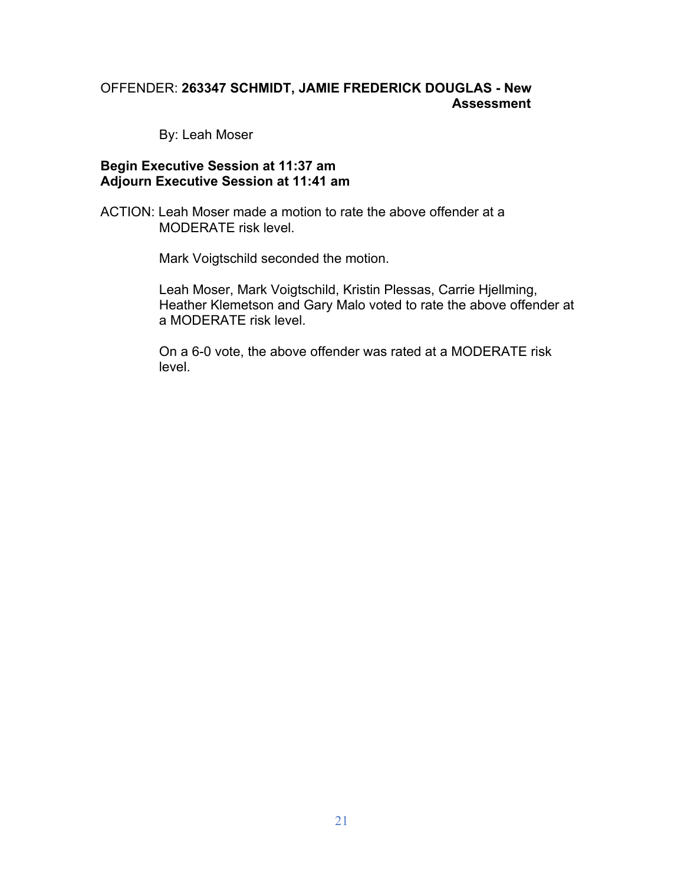# OFFENDER: **263347 SCHMIDT, JAMIE FREDERICK DOUGLAS - New Assessment**

By: Leah Moser

#### **Begin Executive Session at 11:37 am Adjourn Executive Session at 11:41 am**

ACTION: Leah Moser made a motion to rate the above offender at a MODERATE risk level.

Mark Voigtschild seconded the motion.

Leah Moser, Mark Voigtschild, Kristin Plessas, Carrie Hjellming, Heather Klemetson and Gary Malo voted to rate the above offender at a MODERATE risk level.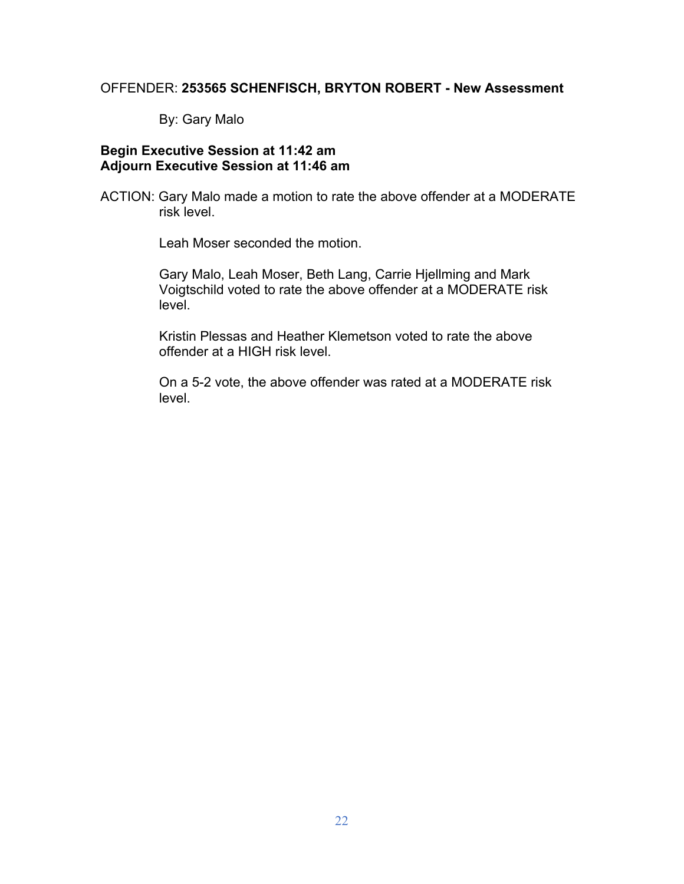#### OFFENDER: **253565 SCHENFISCH, BRYTON ROBERT - New Assessment**

By: Gary Malo

## **Begin Executive Session at 11:42 am Adjourn Executive Session at 11:46 am**

ACTION: Gary Malo made a motion to rate the above offender at a MODERATE risk level.

Leah Moser seconded the motion.

Gary Malo, Leah Moser, Beth Lang, Carrie Hjellming and Mark Voigtschild voted to rate the above offender at a MODERATE risk level.

Kristin Plessas and Heather Klemetson voted to rate the above offender at a HIGH risk level.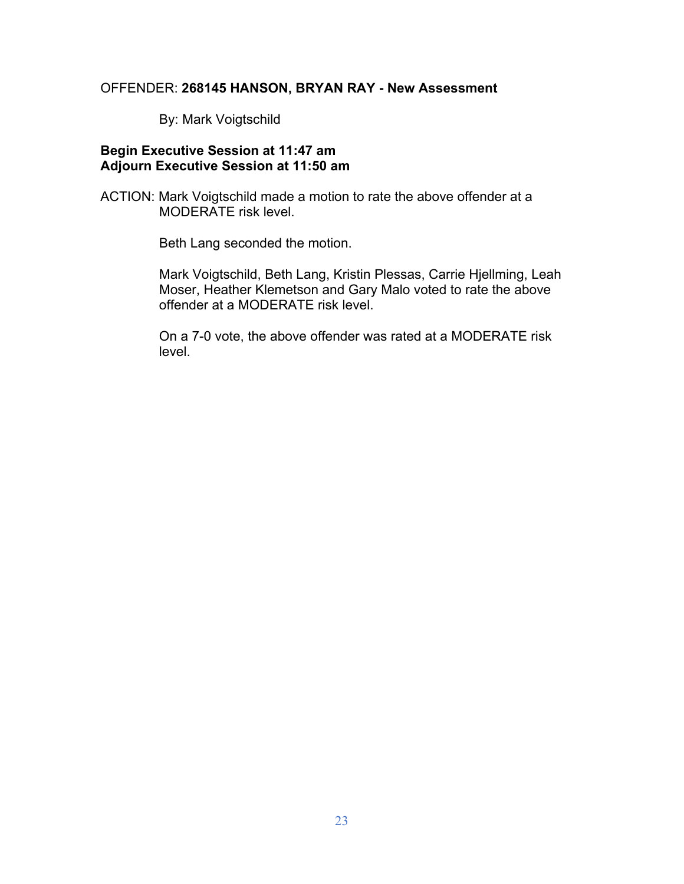#### OFFENDER: **268145 HANSON, BRYAN RAY - New Assessment**

By: Mark Voigtschild

### **Begin Executive Session at 11:47 am Adjourn Executive Session at 11:50 am**

ACTION: Mark Voigtschild made a motion to rate the above offender at a MODERATE risk level.

Beth Lang seconded the motion.

Mark Voigtschild, Beth Lang, Kristin Plessas, Carrie Hjellming, Leah Moser, Heather Klemetson and Gary Malo voted to rate the above offender at a MODERATE risk level.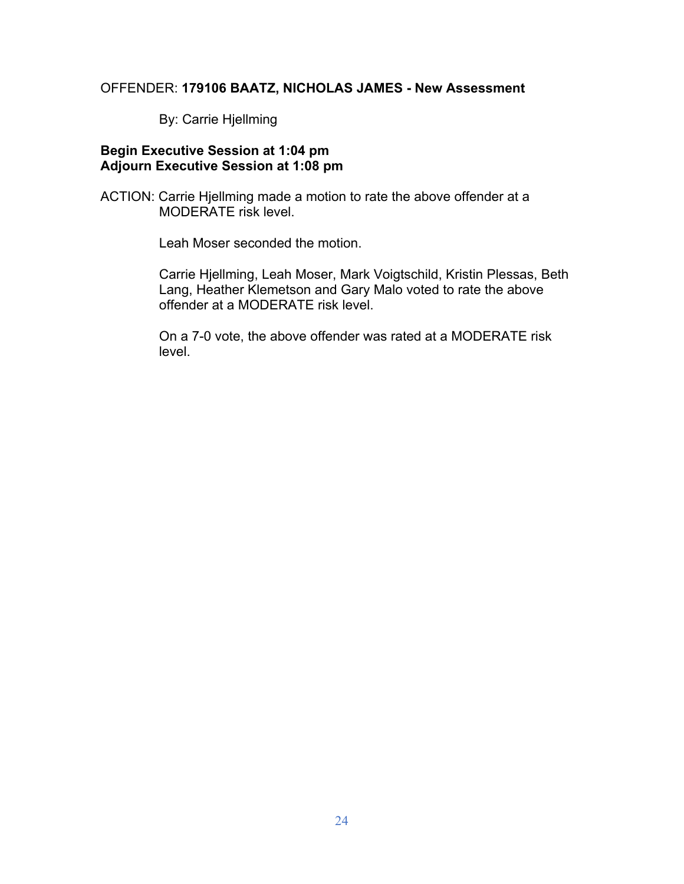#### OFFENDER: **179106 BAATZ, NICHOLAS JAMES - New Assessment**

By: Carrie Hjellming

### **Begin Executive Session at 1:04 pm Adjourn Executive Session at 1:08 pm**

ACTION: Carrie Hjellming made a motion to rate the above offender at a MODERATE risk level.

Leah Moser seconded the motion.

Carrie Hjellming, Leah Moser, Mark Voigtschild, Kristin Plessas, Beth Lang, Heather Klemetson and Gary Malo voted to rate the above offender at a MODERATE risk level.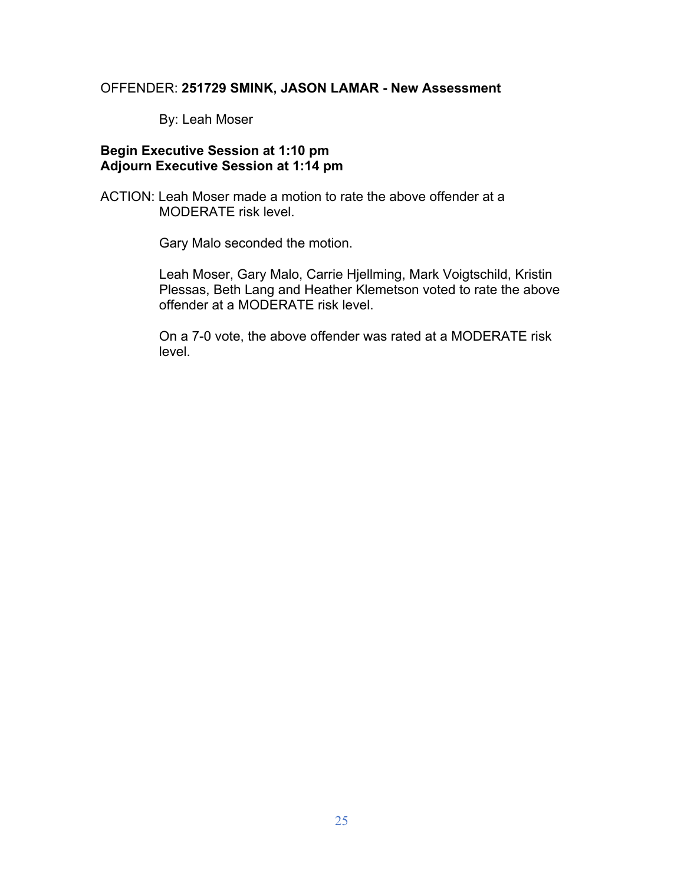### OFFENDER: **251729 SMINK, JASON LAMAR - New Assessment**

By: Leah Moser

### **Begin Executive Session at 1:10 pm Adjourn Executive Session at 1:14 pm**

ACTION: Leah Moser made a motion to rate the above offender at a MODERATE risk level.

Gary Malo seconded the motion.

Leah Moser, Gary Malo, Carrie Hjellming, Mark Voigtschild, Kristin Plessas, Beth Lang and Heather Klemetson voted to rate the above offender at a MODERATE risk level.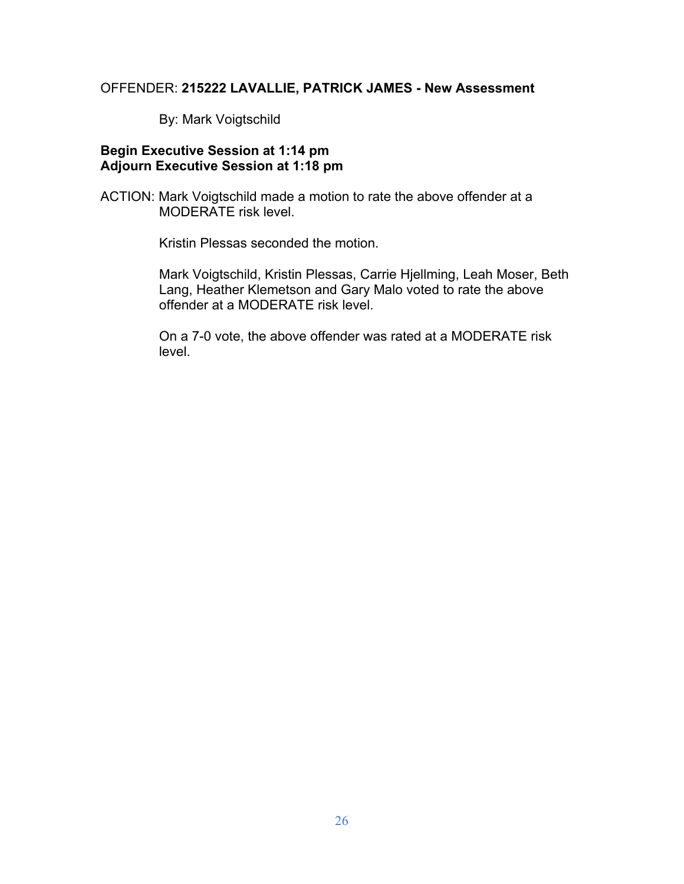# OFFENDER: **215222 LAVALLIE, PATRICK JAMES - New Assessment**

By: Mark Voigtschild

### **Begin Executive Session at 1:14 pm Adjourn Executive Session at 1:18 pm**

ACTION: Mark Voigtschild made a motion to rate the above offender at a MODERATE risk level.

Kristin Plessas seconded the motion.

Mark Voigtschild, Kristin Plessas, Carrie Hjellming, Leah Moser, Beth Lang, Heather Klemetson and Gary Malo voted to rate the above offender at a MODERATE risk level.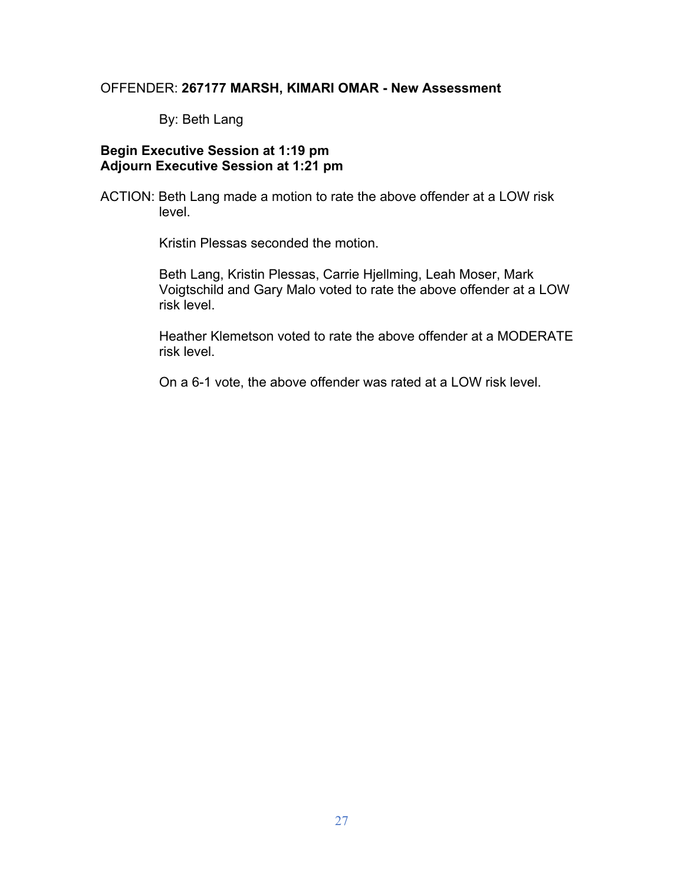#### OFFENDER: **267177 MARSH, KIMARI OMAR - New Assessment**

By: Beth Lang

### **Begin Executive Session at 1:19 pm Adjourn Executive Session at 1:21 pm**

ACTION: Beth Lang made a motion to rate the above offender at a LOW risk level.

Kristin Plessas seconded the motion.

Beth Lang, Kristin Plessas, Carrie Hjellming, Leah Moser, Mark Voigtschild and Gary Malo voted to rate the above offender at a LOW risk level.

Heather Klemetson voted to rate the above offender at a MODERATE risk level.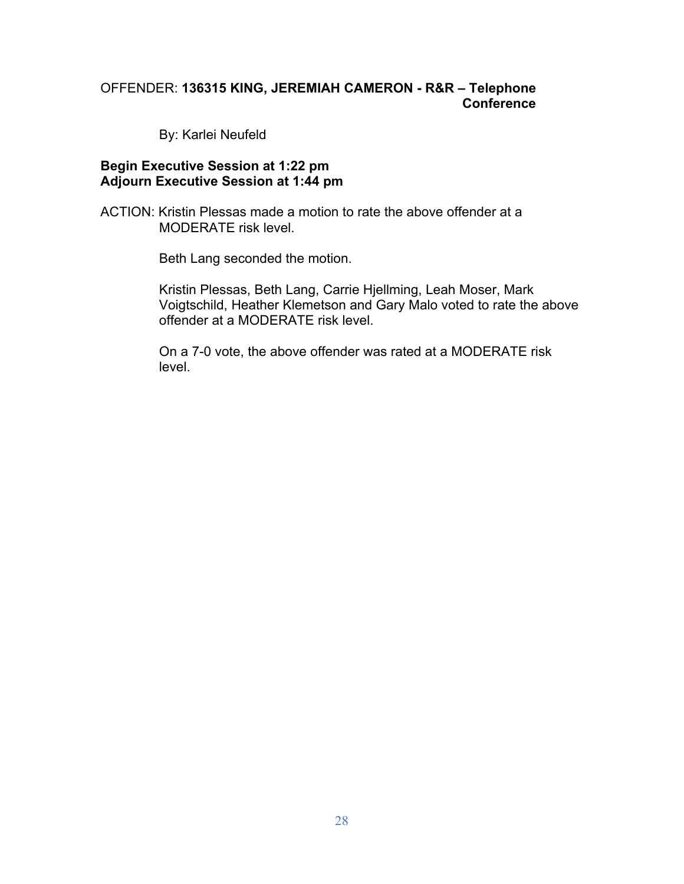# OFFENDER: **136315 KING, JEREMIAH CAMERON - R&R – Telephone Conference**

By: Karlei Neufeld

#### **Begin Executive Session at 1:22 pm Adjourn Executive Session at 1:44 pm**

ACTION: Kristin Plessas made a motion to rate the above offender at a MODERATE risk level.

Beth Lang seconded the motion.

Kristin Plessas, Beth Lang, Carrie Hjellming, Leah Moser, Mark Voigtschild, Heather Klemetson and Gary Malo voted to rate the above offender at a MODERATE risk level.